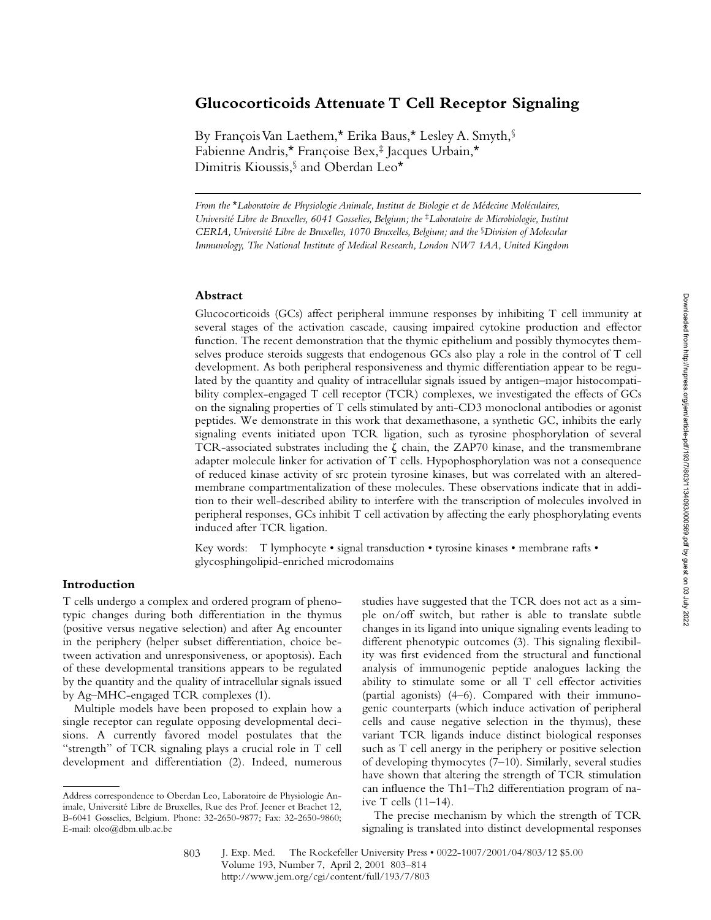# **Glucocorticoids Attenuate T Cell Receptor Signaling**

By François Van Laethem,\* Erika Baus,\* Lesley A. Smyth,§ Fabienne Andris,\* Françoise Bex,‡ Jacques Urbain,\* Dimitris Kioussis,§ and Oberdan Leo\*

*From the* \**Laboratoire de Physiologie Animale, Institut de Biologie et de Médecine Moléculaires, Université Libre de Bruxelles, 6041 Gosselies, Belgium; the* ‡*Laboratoire de Microbiologie, Institut CERIA, Université Libre de Bruxelles, 1070 Bruxelles, Belgium; and the* §*Division of Molecular Immunology, The National Institute of Medical Research, London NW7 1AA, United Kingdom*

## **Abstract**

Glucocorticoids (GCs) affect peripheral immune responses by inhibiting T cell immunity at several stages of the activation cascade, causing impaired cytokine production and effector function. The recent demonstration that the thymic epithelium and possibly thymocytes themselves produce steroids suggests that endogenous GCs also play a role in the control of T cell development. As both peripheral responsiveness and thymic differentiation appear to be regulated by the quantity and quality of intracellular signals issued by antigen–major histocompatibility complex-engaged T cell receptor (TCR) complexes, we investigated the effects of GCs on the signaling properties of T cells stimulated by anti-CD3 monoclonal antibodies or agonist peptides. We demonstrate in this work that dexamethasone, a synthetic GC, inhibits the early signaling events initiated upon TCR ligation, such as tyrosine phosphorylation of several TCR-associated substrates including the  $\zeta$  chain, the ZAP70 kinase, and the transmembrane adapter molecule linker for activation of T cells. Hypophosphorylation was not a consequence of reduced kinase activity of src protein tyrosine kinases, but was correlated with an alteredmembrane compartmentalization of these molecules. These observations indicate that in addition to their well-described ability to interfere with the transcription of molecules involved in peripheral responses, GCs inhibit T cell activation by affecting the early phosphorylating events induced after TCR ligation.

Key words: T lymphocyte • signal transduction • tyrosine kinases • membrane rafts • glycosphingolipid-enriched microdomains

# **Introduction**

T cells undergo a complex and ordered program of phenotypic changes during both differentiation in the thymus (positive versus negative selection) and after Ag encounter in the periphery (helper subset differentiation, choice between activation and unresponsiveness, or apoptosis). Each of these developmental transitions appears to be regulated by the quantity and the quality of intracellular signals issued by Ag–MHC-engaged TCR complexes (1).

Multiple models have been proposed to explain how a single receptor can regulate opposing developmental decisions. A currently favored model postulates that the "strength" of TCR signaling plays a crucial role in T cell development and differentiation (2). Indeed, numerous

studies have suggested that the TCR does not act as a simple on/off switch, but rather is able to translate subtle changes in its ligand into unique signaling events leading to different phenotypic outcomes (3). This signaling flexibility was first evidenced from the structural and functional analysis of immunogenic peptide analogues lacking the ability to stimulate some or all T cell effector activities (partial agonists) (4–6). Compared with their immunogenic counterparts (which induce activation of peripheral cells and cause negative selection in the thymus), these variant TCR ligands induce distinct biological responses such as T cell anergy in the periphery or positive selection of developing thymocytes (7–10). Similarly, several studies have shown that altering the strength of TCR stimulation can influence the Th1–Th2 differentiation program of naive T cells (11–14).

The precise mechanism by which the strength of TCR signaling is translated into distinct developmental responses

Address correspondence to Oberdan Leo, Laboratoire de Physiologie Animale, Université Libre de Bruxelles, Rue des Prof. Jeener et Brachet 12, B-6041 Gosselies, Belgium. Phone: 32-2650-9877; Fax: 32-2650-9860; E-mail: oleo@dbm.ulb.ac.be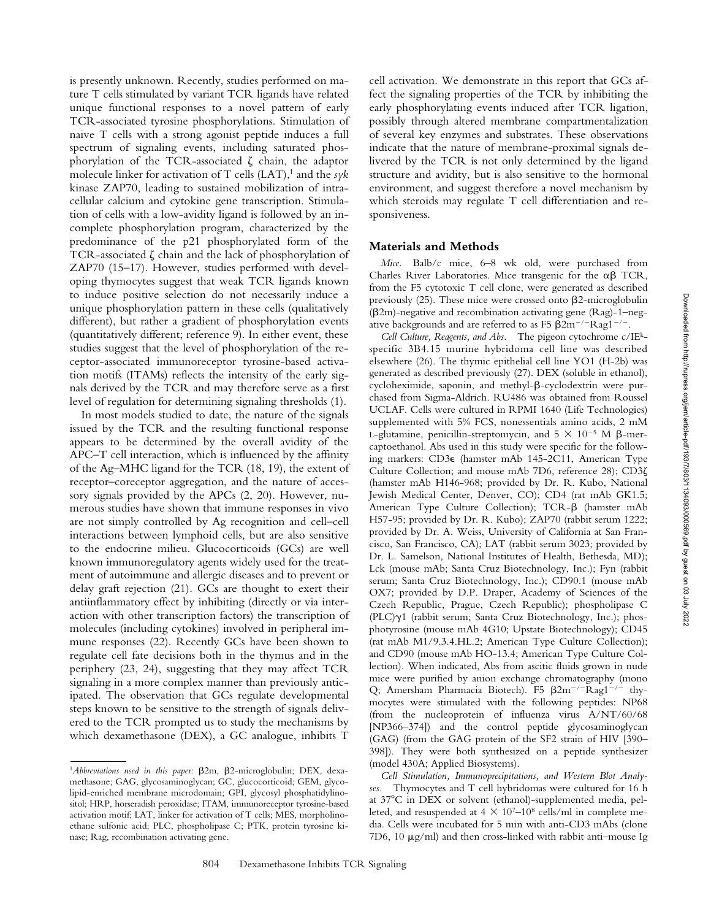is presently unknown. Recently, studies performed on mature T cells stimulated by variant TCR ligands have related unique functional responses to a novel pattern of early TCR-associated tyrosine phosphorylations. Stimulation of naive T cells with a strong agonist peptide induces a full spectrum of signaling events, including saturated phosphorylation of the TCR-associated  $\zeta$  chain, the adaptor molecule linker for activation of  $T$  cells  $(LAT)$ ,<sup>1</sup> and the *syk* kinase ZAP70, leading to sustained mobilization of intracellular calcium and cytokine gene transcription. Stimulation of cells with a low-avidity ligand is followed by an incomplete phosphorylation program, characterized by the predominance of the p21 phosphorylated form of the TCR-associated  $\zeta$  chain and the lack of phosphorylation of ZAP70 (15–17). However, studies performed with developing thymocytes suggest that weak TCR ligands known to induce positive selection do not necessarily induce a unique phosphorylation pattern in these cells (qualitatively different), but rather a gradient of phosphorylation events (quantitatively different; reference 9). In either event, these studies suggest that the level of phosphorylation of the receptor-associated immunoreceptor tyrosine-based activation motifs (ITAMs) reflects the intensity of the early signals derived by the TCR and may therefore serve as a first level of regulation for determining signaling thresholds (1).

In most models studied to date, the nature of the signals issued by the TCR and the resulting functional response appears to be determined by the overall avidity of the APC–T cell interaction, which is influenced by the affinity of the Ag–MHC ligand for the TCR (18, 19), the extent of receptor–coreceptor aggregation, and the nature of accessory signals provided by the APCs (2, 20). However, numerous studies have shown that immune responses in vivo are not simply controlled by Ag recognition and cell–cell interactions between lymphoid cells, but are also sensitive to the endocrine milieu. Glucocorticoids (GCs) are well known immunoregulatory agents widely used for the treatment of autoimmune and allergic diseases and to prevent or delay graft rejection (21). GCs are thought to exert their antiinflammatory effect by inhibiting (directly or via interaction with other transcription factors) the transcription of molecules (including cytokines) involved in peripheral immune responses (22). Recently GCs have been shown to regulate cell fate decisions both in the thymus and in the periphery (23, 24), suggesting that they may affect TCR signaling in a more complex manner than previously anticipated. The observation that GCs regulate developmental steps known to be sensitive to the strength of signals delivered to the TCR prompted us to study the mechanisms by which dexamethasone (DEX), a GC analogue, inhibits T

cell activation. We demonstrate in this report that GCs affect the signaling properties of the TCR by inhibiting the early phosphorylating events induced after TCR ligation, possibly through altered membrane compartmentalization of several key enzymes and substrates. These observations indicate that the nature of membrane-proximal signals delivered by the TCR is not only determined by the ligand structure and avidity, but is also sensitive to the hormonal environment, and suggest therefore a novel mechanism by which steroids may regulate T cell differentiation and responsiveness.

#### **Materials and Methods**

*Mice.* Balb/c mice, 6–8 wk old, were purchased from Charles River Laboratories. Mice transgenic for the  $\alpha\beta$  TCR, from the F5 cytotoxic T cell clone, were generated as described previously  $(25)$ . These mice were crossed onto  $\beta$ 2-microglobulin  $(\beta2m)$ -negative and recombination activating gene (Rag)-1–negative backgrounds and are referred to as F5  $\beta$ 2m<sup>-/-</sup>Rag1<sup>-/-</sup>.

*Cell Culture, Reagents, and Abs.* The pigeon cytochrome c/IEkspecific 3B4.15 murine hybridoma cell line was described elsewhere (26). The thymic epithelial cell line YO1 (H-2b) was generated as described previously (27). DEX (soluble in ethanol), cycloheximide, saponin, and methyl- $\beta$ -cyclodextrin were purchased from Sigma-Aldrich. RU486 was obtained from Roussel UCLAF. Cells were cultured in RPMI 1640 (Life Technologies) supplemented with 5% FCS, nonessentials amino acids, 2 mM L-glutamine, penicillin-streptomycin, and  $5 \times 10^{-5}$  M  $\beta$ -mercaptoethanol. Abs used in this study were specific for the following markers: CD3e (hamster mAb 145-2C11, American Type Culture Collection; and mouse mAb 7D6, reference 28); CD3 $\zeta$ (hamster mAb H146-968; provided by Dr. R. Kubo, National Jewish Medical Center, Denver, CO); CD4 (rat mAb GK1.5; American Type Culture Collection); TCR- $\beta$  (hamster mAb H57-95; provided by Dr. R. Kubo); ZAP70 (rabbit serum 1222; provided by Dr. A. Weiss, University of California at San Francisco, San Francisco, CA); LAT (rabbit serum 3023; provided by Dr. L. Samelson, National Institutes of Health, Bethesda, MD); Lck (mouse mAb; Santa Cruz Biotechnology, Inc.); Fyn (rabbit serum; Santa Cruz Biotechnology, Inc.); CD90.1 (mouse mAb OX7; provided by D.P. Draper, Academy of Sciences of the Czech Republic, Prague, Czech Republic); phospholipase C  $(PLC)\gamma1$  (rabbit serum; Santa Cruz Biotechnology, Inc.); phosphotyrosine (mouse mAb 4G10; Upstate Biotechnology); CD45 (rat mAb M1/9.3.4.HL.2; American Type Culture Collection); and CD90 (mouse mAb HO-13.4; American Type Culture Collection). When indicated, Abs from ascitic fluids grown in nude mice were purified by anion exchange chromatography (mono Q; Amersham Pharmacia Biotech). F5  $\beta 2m^{-/-}$ Rag1<sup>-/-</sup> thymocytes were stimulated with the following peptides: NP68 (from the nucleoprotein of influenza virus A/NT/60/68 [NP366–374]) and the control peptide glycosaminoglycan (GAG) (from the GAG protein of the SF2 strain of HIV [390– 398]). They were both synthesized on a peptide synthesizer (model 430A; Applied Biosystems).

*Cell Stimulation, Immunoprecipitations, and Western Blot Analyses.* Thymocytes and T cell hybridomas were cultured for 16 h at 37°C in DEX or solvent (ethanol)-supplemented media, pelleted, and resuspended at  $4 \times 10^{7}$ – $10^{8}$  cells/ml in complete media. Cells were incubated for 5 min with anti-CD3 mAbs (clone 7D6, 10  $\mu$ g/ml) and then cross-linked with rabbit anti-mouse Ig

<sup>&</sup>lt;sup>1</sup>Abbreviations used in this paper:  $\beta$ 2m,  $\beta$ 2-microglobulin; DEX, dexamethasone; GAG, glycosaminoglycan; GC, glucocorticoid; GEM, glycolipid-enriched membrane microdomain; GPI, glycosyl phosphatidylinositol; HRP, horseradish peroxidase; ITAM, immunoreceptor tyrosine-based activation motif; LAT, linker for activation of T cells; MES, morpholinoethane sulfonic acid; PLC, phospholipase C; PTK, protein tyrosine kinase; Rag, recombination activating gene.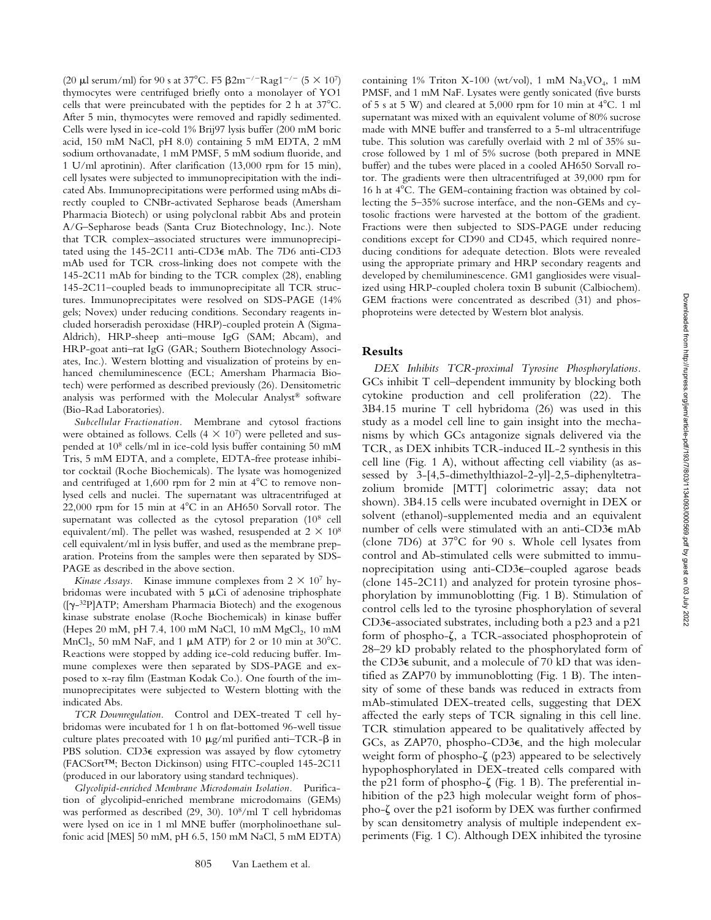(20  $\mu$ l serum/ml) for 90 s at 37°C. F5  $\beta$ 2m<sup>-/-</sup>Rag1<sup>-/-</sup> (5  $\times$  10<sup>7</sup>) thymocytes were centrifuged briefly onto a monolayer of YO1 cells that were preincubated with the peptides for 2 h at  $37^{\circ}$ C. After 5 min, thymocytes were removed and rapidly sedimented. Cells were lysed in ice-cold 1% Brij97 lysis buffer (200 mM boric acid, 150 mM NaCl, pH 8.0) containing 5 mM EDTA, 2 mM sodium orthovanadate, 1 mM PMSF, 5 mM sodium fluoride, and 1 U/ml aprotinin). After clarification (13,000 rpm for 15 min), cell lysates were subjected to immunoprecipitation with the indicated Abs. Immunoprecipitations were performed using mAbs directly coupled to CNBr-activated Sepharose beads (Amersham Pharmacia Biotech) or using polyclonal rabbit Abs and protein A/G–Sepharose beads (Santa Cruz Biotechnology, Inc.). Note that TCR complex–associated structures were immunoprecipitated using the 145-2C11 anti-CD3e mAb. The 7D6 anti-CD3 mAb used for TCR cross-linking does not compete with the 145-2C11 mAb for binding to the TCR complex (28), enabling 145-2C11–coupled beads to immunoprecipitate all TCR structures. Immunoprecipitates were resolved on SDS-PAGE (14% gels; Novex) under reducing conditions. Secondary reagents included horseradish peroxidase (HRP)-coupled protein A (Sigma-Aldrich), HRP-sheep anti–mouse IgG (SAM; Abcam), and HRP-goat anti–rat IgG (GAR; Southern Biotechnology Associates, Inc.). Western blotting and visualization of proteins by enhanced chemiluminescence (ECL; Amersham Pharmacia Biotech) were performed as described previously (26). Densitometric analysis was performed with the Molecular Analyst® software (Bio-Rad Laboratories).

*Subcellular Fractionation.* Membrane and cytosol fractions were obtained as follows. Cells  $(4 \times 10^7)$  were pelleted and suspended at 108 cells/ml in ice-cold lysis buffer containing 50 mM Tris, 5 mM EDTA, and a complete, EDTA-free protease inhibitor cocktail (Roche Biochemicals). The lysate was homogenized and centrifuged at  $1,600$  rpm for 2 min at  $4^{\circ}$ C to remove nonlysed cells and nuclei. The supernatant was ultracentrifuged at 22,000 rpm for 15 min at  $4^{\circ}$ C in an AH650 Sorvall rotor. The supernatant was collected as the cytosol preparation (108 cell equivalent/ml). The pellet was washed, resuspended at  $2 \times 10^8$ cell equivalent/ml in lysis buffer, and used as the membrane preparation. Proteins from the samples were then separated by SDS-PAGE as described in the above section.

*Kinase Assays.* Kinase immune complexes from  $2 \times 10^7$  hybridomas were incubated with  $5 \mu Ci$  of adenosine triphosphate ([g-32P]ATP; Amersham Pharmacia Biotech) and the exogenous kinase substrate enolase (Roche Biochemicals) in kinase buffer (Hepes 20 mM, pH 7.4, 100 mM NaCl, 10 mM MgCl<sub>2</sub>, 10 mM MnCl<sub>2</sub>, 50 mM NaF, and 1  $\mu$ M ATP) for 2 or 10 min at 30°C. Reactions were stopped by adding ice-cold reducing buffer. Immune complexes were then separated by SDS-PAGE and exposed to x-ray film (Eastman Kodak Co.). One fourth of the immunoprecipitates were subjected to Western blotting with the indicated Abs.

*TCR Downregulation.* Control and DEX-treated T cell hybridomas were incubated for 1 h on flat-bottomed 96-well tissue culture plates precoated with 10  $\mu$ g/ml purified anti–TCR- $\beta$  in PBS solution. CD3 $\epsilon$  expression was assayed by flow cytometry (FACSort™; Becton Dickinson) using FITC-coupled 145-2C11 (produced in our laboratory using standard techniques).

*Glycolipid-enriched Membrane Microdomain Isolation.* Purification of glycolipid-enriched membrane microdomains (GEMs) was performed as described (29, 30). 108/ml T cell hybridomas were lysed on ice in 1 ml MNE buffer (morpholinoethane sulfonic acid [MES] 50 mM, pH 6.5, 150 mM NaCl, 5 mM EDTA)

containing 1% Triton X-100 (wt/vol), 1 mM  $Na<sub>3</sub>VO<sub>4</sub>$ , 1 mM PMSF, and 1 mM NaF. Lysates were gently sonicated (five bursts of 5 s at 5 W) and cleared at 5,000 rpm for 10 min at  $4^{\circ}$ C. 1 ml supernatant was mixed with an equivalent volume of 80% sucrose made with MNE buffer and transferred to a 5-ml ultracentrifuge tube. This solution was carefully overlaid with 2 ml of 35% sucrose followed by 1 ml of 5% sucrose (both prepared in MNE buffer) and the tubes were placed in a cooled AH650 Sorvall rotor. The gradients were then ultracentrifuged at 39,000 rpm for 16 h at  $4^{\circ}$ C. The GEM-containing fraction was obtained by collecting the 5–35% sucrose interface, and the non-GEMs and cytosolic fractions were harvested at the bottom of the gradient. Fractions were then subjected to SDS-PAGE under reducing conditions except for CD90 and CD45, which required nonreducing conditions for adequate detection. Blots were revealed using the appropriate primary and HRP secondary reagents and developed by chemiluminescence. GM1 gangliosides were visualized using HRP-coupled cholera toxin B subunit (Calbiochem). GEM fractions were concentrated as described (31) and phosphoproteins were detected by Western blot analysis.

# **Results**

*DEX Inhibits TCR-proximal Tyrosine Phosphorylations.* GCs inhibit T cell–dependent immunity by blocking both cytokine production and cell proliferation (22). The 3B4.15 murine T cell hybridoma (26) was used in this study as a model cell line to gain insight into the mechanisms by which GCs antagonize signals delivered via the TCR, as DEX inhibits TCR-induced IL-2 synthesis in this cell line (Fig. 1 A), without affecting cell viability (as assessed by 3-[4,5-dimethylthiazol-2-yl]-2,5-diphenyltetrazolium bromide [MTT] colorimetric assay; data not shown). 3B4.15 cells were incubated overnight in DEX or solvent (ethanol)-supplemented media and an equivalent number of cells were stimulated with an anti-CD3e mAb (clone 7D6) at  $37^{\circ}$ C for 90 s. Whole cell lysates from control and Ab-stimulated cells were submitted to immunoprecipitation using anti-CD3e–coupled agarose beads (clone 145-2C11) and analyzed for protein tyrosine phosphorylation by immunoblotting (Fig. 1 B). Stimulation of control cells led to the tyrosine phosphorylation of several CD3e-associated substrates, including both a p23 and a p21 form of phospho- $\zeta$ , a TCR-associated phosphoprotein of 28–29 kD probably related to the phosphorylated form of the CD3e subunit, and a molecule of 70 kD that was identified as ZAP70 by immunoblotting (Fig. 1 B). The intensity of some of these bands was reduced in extracts from mAb-stimulated DEX-treated cells, suggesting that DEX affected the early steps of TCR signaling in this cell line. TCR stimulation appeared to be qualitatively affected by GCs, as ZAP70, phospho-CD3e, and the high molecular weight form of phospho- $\zeta$  (p23) appeared to be selectively hypophosphorylated in DEX-treated cells compared with the p21 form of phospho- $\zeta$  (Fig. 1 B). The preferential inhibition of the p23 high molecular weight form of phospho-ζ over the p21 isoform by DEX was further confirmed by scan densitometry analysis of multiple independent experiments (Fig. 1 C). Although DEX inhibited the tyrosine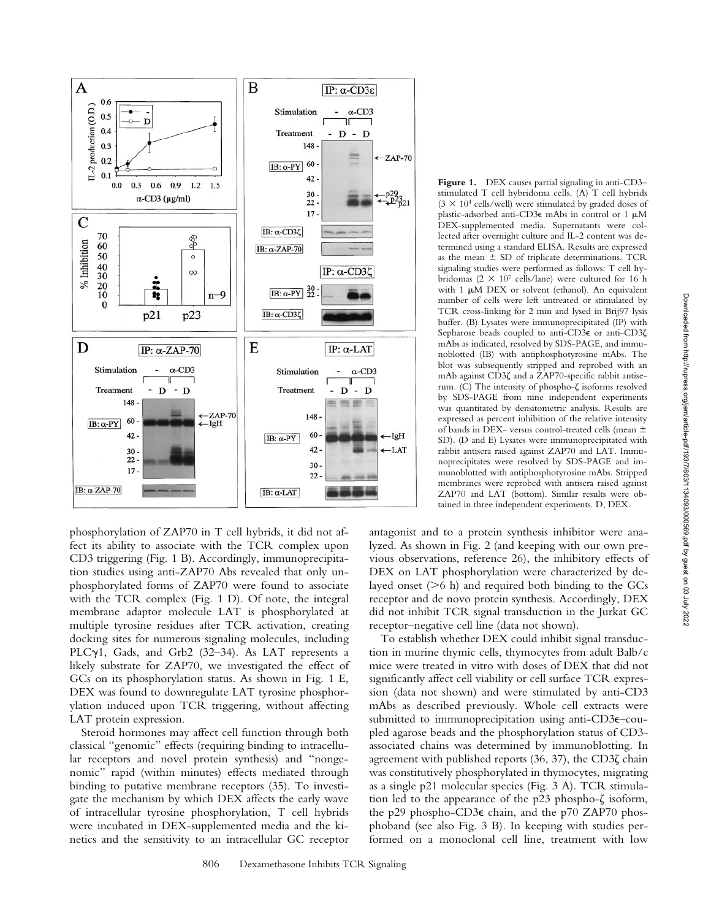

phosphorylation of ZAP70 in T cell hybrids, it did not affect its ability to associate with the TCR complex upon CD3 triggering (Fig. 1 B). Accordingly, immunoprecipitation studies using anti-ZAP70 Abs revealed that only unphosphorylated forms of ZAP70 were found to associate with the TCR complex (Fig. 1 D). Of note, the integral membrane adaptor molecule LAT is phosphorylated at multiple tyrosine residues after TCR activation, creating docking sites for numerous signaling molecules, including PLCy1, Gads, and Grb2 (32-34). As LAT represents a likely substrate for ZAP70, we investigated the effect of GCs on its phosphorylation status. As shown in Fig. 1 E, DEX was found to downregulate LAT tyrosine phosphorylation induced upon TCR triggering, without affecting LAT protein expression.

Steroid hormones may affect cell function through both classical "genomic" effects (requiring binding to intracellular receptors and novel protein synthesis) and "nongenomic" rapid (within minutes) effects mediated through binding to putative membrane receptors (35). To investigate the mechanism by which DEX affects the early wave of intracellular tyrosine phosphorylation, T cell hybrids were incubated in DEX-supplemented media and the kinetics and the sensitivity to an intracellular GC receptor

**Figure 1.** DEX causes partial signaling in anti-CD3– stimulated T cell hybridoma cells. (A) T cell hybrids  $(3 \times 10^4 \text{ cells/well})$  were stimulated by graded doses of plastic-adsorbed anti-CD3 $\epsilon$  mAbs in control or 1  $\mu$ M DEX-supplemented media. Supernatants were collected after overnight culture and IL-2 content was determined using a standard ELISA. Results are expressed as the mean  $\pm$  SD of triplicate determinations. TCR signaling studies were performed as follows: T cell hybridomas ( $2 \times 10^7$  cells/lane) were cultured for 16 h with  $1 \mu M$  DEX or solvent (ethanol). An equivalent number of cells were left untreated or stimulated by TCR cross-linking for 2 min and lysed in Brij97 lysis buffer. (B) Lysates were immunoprecipitated (IP) with Sepharose beads coupled to anti-CD3€ or anti-CD3 $\zeta$ mAbs as indicated, resolved by SDS-PAGE, and immunoblotted (IB) with antiphosphotyrosine mAbs. The blot was subsequently stripped and reprobed with an mAb against CD3 $\zeta$  and a ZAP70-specific rabbit antiserum. (C) The intensity of phospho-ζ isoforms resolved by SDS-PAGE from nine independent experiments was quantitated by densitometric analysis. Results are expressed as percent inhibition of the relative intensity of bands in DEX- versus control-treated cells (mean  $\pm$ SD). (D and E) Lysates were immunoprecipitated with rabbit antisera raised against ZAP70 and LAT. Immunoprecipitates were resolved by SDS-PAGE and immunoblotted with antiphosphotyrosine mAbs. Stripped membranes were reprobed with antisera raised against ZAP70 and LAT (bottom). Similar results were obtained in three independent experiments. D, DEX.

antagonist and to a protein synthesis inhibitor were analyzed. As shown in Fig. 2 (and keeping with our own previous observations, reference 26), the inhibitory effects of DEX on LAT phosphorylation were characterized by delayed onset  $(>6$  h) and required both binding to the GCs receptor and de novo protein synthesis. Accordingly, DEX did not inhibit TCR signal transduction in the Jurkat GC receptor–negative cell line (data not shown).

To establish whether DEX could inhibit signal transduction in murine thymic cells, thymocytes from adult Balb/c mice were treated in vitro with doses of DEX that did not significantly affect cell viability or cell surface TCR expression (data not shown) and were stimulated by anti-CD3 mAbs as described previously. Whole cell extracts were submitted to immunoprecipitation using anti-CD3e–coupled agarose beads and the phosphorylation status of CD3 associated chains was determined by immunoblotting. In agreement with published reports  $(36, 37)$ , the CD3 $\zeta$  chain was constitutively phosphorylated in thymocytes, migrating as a single p21 molecular species (Fig. 3 A). TCR stimulation led to the appearance of the  $p23$  phospho- $\zeta$  isoform, the p29 phospho-CD3e chain, and the p70 ZAP70 phosphoband (see also Fig. 3 B). In keeping with studies performed on a monoclonal cell line, treatment with low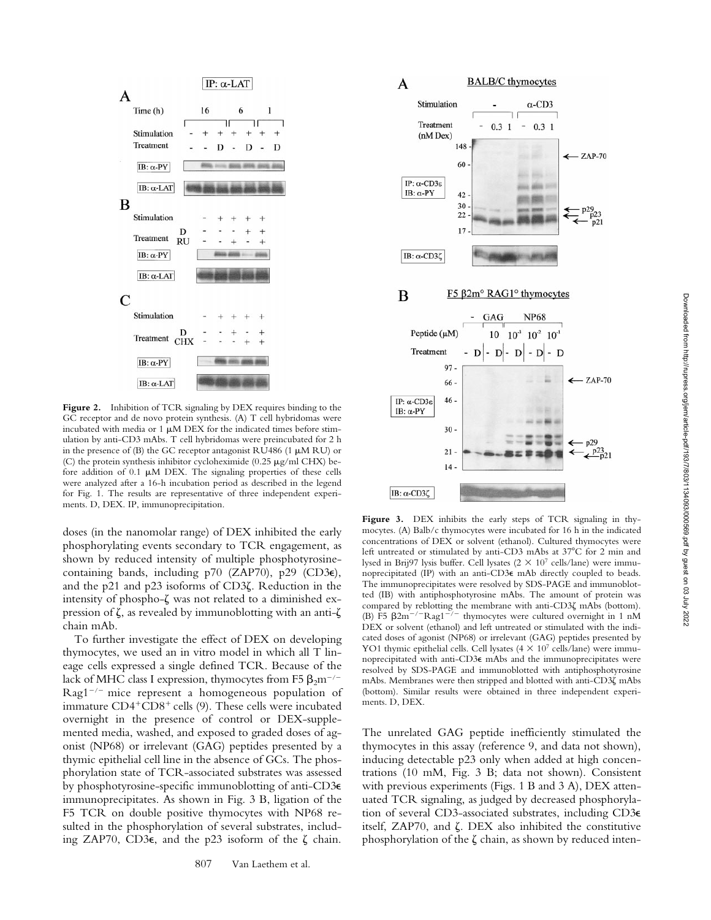

Figure 2. Inhibition of TCR signaling by DEX requires binding to the GC receptor and de novo protein synthesis. (A) T cell hybridomas were incubated with media or  $1 \mu M$  DEX for the indicated times before stimulation by anti-CD3 mAbs. T cell hybridomas were preincubated for 2 h in the presence of (B) the GC receptor antagonist RU486 (1  $\mu$ M RU) or (C) the protein synthesis inhibitor cycloheximide (0.25  $\mu$ g/ml CHX) before addition of  $0.1 \mu M$  DEX. The signaling properties of these cells were analyzed after a 16-h incubation period as described in the legend for Fig. 1. The results are representative of three independent experiments. D, DEX. IP, immunoprecipitation.

doses (in the nanomolar range) of DEX inhibited the early phosphorylating events secondary to TCR engagement, as shown by reduced intensity of multiple phosphotyrosinecontaining bands, including p70 (ZAP70), p29 (CD3 $\epsilon$ ), and the p21 and p23 isoforms of CD3 $\zeta$ . Reduction in the intensity of phospho- $\zeta$  was not related to a diminished expression of  $\zeta$ , as revealed by immunoblotting with an anti- $\zeta$ chain mAb.

To further investigate the effect of DEX on developing thymocytes, we used an in vitro model in which all T lineage cells expressed a single defined TCR. Because of the lack of MHC class I expression, thymocytes from F5  $\beta_2$ m<sup>-/-</sup>  $Rag1^{-/-}$  mice represent a homogeneous population of immature CD4<sup>+</sup>CD8<sup>+</sup> cells (9). These cells were incubated overnight in the presence of control or DEX-supplemented media, washed, and exposed to graded doses of agonist (NP68) or irrelevant (GAG) peptides presented by a thymic epithelial cell line in the absence of GCs. The phosphorylation state of TCR-associated substrates was assessed by phosphotyrosine-specific immunoblotting of anti-CD3e immunoprecipitates. As shown in Fig. 3 B, ligation of the F5 TCR on double positive thymocytes with NP68 resulted in the phosphorylation of several substrates, including ZAP70, CD3 $\epsilon$ , and the p23 isoform of the  $\zeta$  chain.



**Figure 3.** DEX inhibits the early steps of TCR signaling in thymocytes. (A) Balb/c thymocytes were incubated for 16 h in the indicated concentrations of DEX or solvent (ethanol). Cultured thymocytes were left untreated or stimulated by anti-CD3 mAbs at 37°C for 2 min and lysed in Brij97 lysis buffer. Cell lysates ( $2 \times 10^7$  cells/lane) were immunoprecipitated (IP) with an anti-CD3e mAb directly coupled to beads. The immunoprecipitates were resolved by SDS-PAGE and immunoblotted (IB) with antiphosphotyrosine mAbs. The amount of protein was compared by reblotting the membrane with anti-CD3 $\zeta$  mAbs (bottom). (B) F5  $\beta$ 2m<sup>-/-</sup>Rag1<sup>-/-</sup> thymocytes were cultured overnight in 1 nM DEX or solvent (ethanol) and left untreated or stimulated with the indicated doses of agonist (NP68) or irrelevant (GAG) peptides presented by YO1 thymic epithelial cells. Cell lysates (4  $\times$  10<sup>7</sup> cells/lane) were immunoprecipitated with anti-CD3e mAbs and the immunoprecipitates were resolved by SDS-PAGE and immunoblotted with antiphosphotyrosine mAbs. Membranes were then stripped and blotted with anti-CD3ζ mAbs (bottom). Similar results were obtained in three independent experiments. D, DEX.

The unrelated GAG peptide inefficiently stimulated the thymocytes in this assay (reference 9, and data not shown), inducing detectable p23 only when added at high concentrations (10 mM, Fig. 3 B; data not shown). Consistent with previous experiments (Figs. 1 B and 3 A), DEX attenuated TCR signaling, as judged by decreased phosphorylation of several CD3-associated substrates, including CD3e itself,  $ZAP70$ , and  $\zeta$ . DEX also inhibited the constitutive phosphorylation of the  $\zeta$  chain, as shown by reduced inten-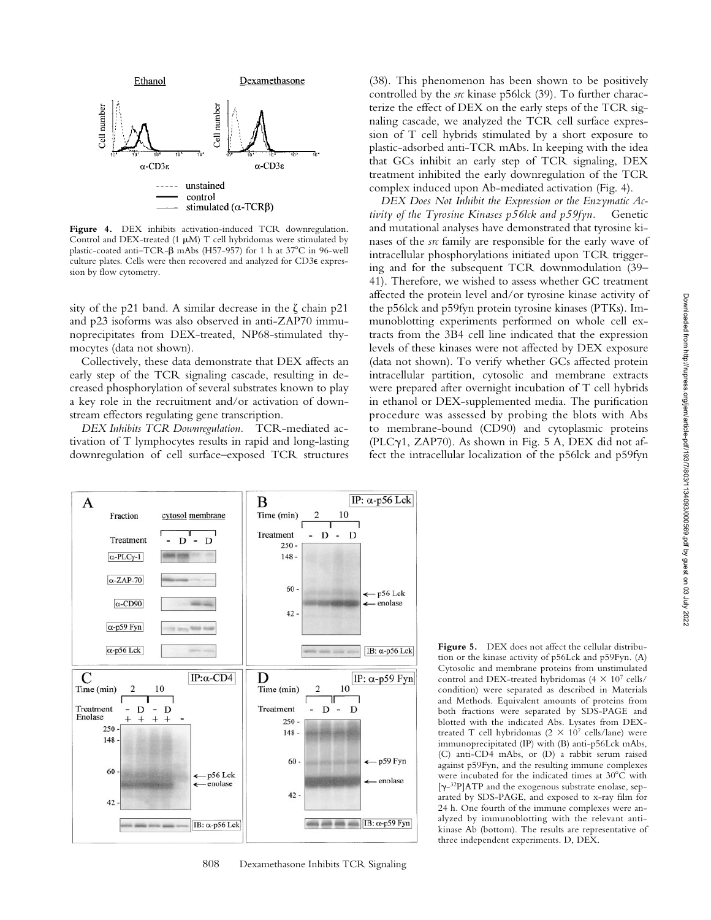

**Figure 4.** DEX inhibits activation-induced TCR downregulation. Control and DEX-treated (1  $\mu$ M) T cell hybridomas were stimulated by plastic-coated anti-TCR- $\beta$  mAbs (H57-957) for 1 h at 37°C in 96-well culture plates. Cells were then recovered and analyzed for CD3e expression by flow cytometry.

sity of the p21 band. A similar decrease in the  $\zeta$  chain p21 and p23 isoforms was also observed in anti-ZAP70 immunoprecipitates from DEX-treated, NP68-stimulated thymocytes (data not shown).

Collectively, these data demonstrate that DEX affects an early step of the TCR signaling cascade, resulting in decreased phosphorylation of several substrates known to play a key role in the recruitment and/or activation of downstream effectors regulating gene transcription.

*DEX Inhibits TCR Downregulation.* TCR-mediated activation of T lymphocytes results in rapid and long-lasting downregulation of cell surface–exposed TCR structures



*DEX Does Not Inhibit the Expression or the Enzymatic Activity of the Tyrosine Kinases p56lck and p59fyn.* Genetic and mutational analyses have demonstrated that tyrosine kinases of the *src* family are responsible for the early wave of intracellular phosphorylations initiated upon TCR triggering and for the subsequent TCR downmodulation (39– 41). Therefore, we wished to assess whether GC treatment affected the protein level and/or tyrosine kinase activity of the p56lck and p59fyn protein tyrosine kinases (PTKs). Immunoblotting experiments performed on whole cell extracts from the 3B4 cell line indicated that the expression levels of these kinases were not affected by DEX exposure (data not shown). To verify whether GCs affected protein intracellular partition, cytosolic and membrane extracts were prepared after overnight incubation of T cell hybrids in ethanol or DEX-supplemented media. The purification procedure was assessed by probing the blots with Abs to membrane-bound (CD90) and cytoplasmic proteins (PLC $\gamma$ 1, ZAP70). As shown in Fig. 5 A, DEX did not affect the intracellular localization of the p56lck and p59fyn



808 Dexamethasone Inhibits TCR Signaling

**Figure 5.** DEX does not affect the cellular distribution or the kinase activity of p56Lck and p59Fyn. (A) Cytosolic and membrane proteins from unstimulated control and DEX-treated hybridomas (4  $\times$  10<sup>7</sup> cells/ condition) were separated as described in Materials and Methods. Equivalent amounts of proteins from both fractions were separated by SDS-PAGE and blotted with the indicated Abs. Lysates from DEXtreated T cell hybridomas  $(2 \times 10^7 \text{ cells/lane})$  were immunoprecipitated (IP) with (B) anti-p56Lck mAbs, (C) anti-CD4 mAbs, or (D) a rabbit serum raised against p59Fyn, and the resulting immune complexes were incubated for the indicated times at  $30^{\circ}$ C with [g-32P]ATP and the exogenous substrate enolase, separated by SDS-PAGE, and exposed to x-ray film for 24 h. One fourth of the immune complexes were analyzed by immunoblotting with the relevant antikinase Ab (bottom). The results are representative of three independent experiments. D, DEX.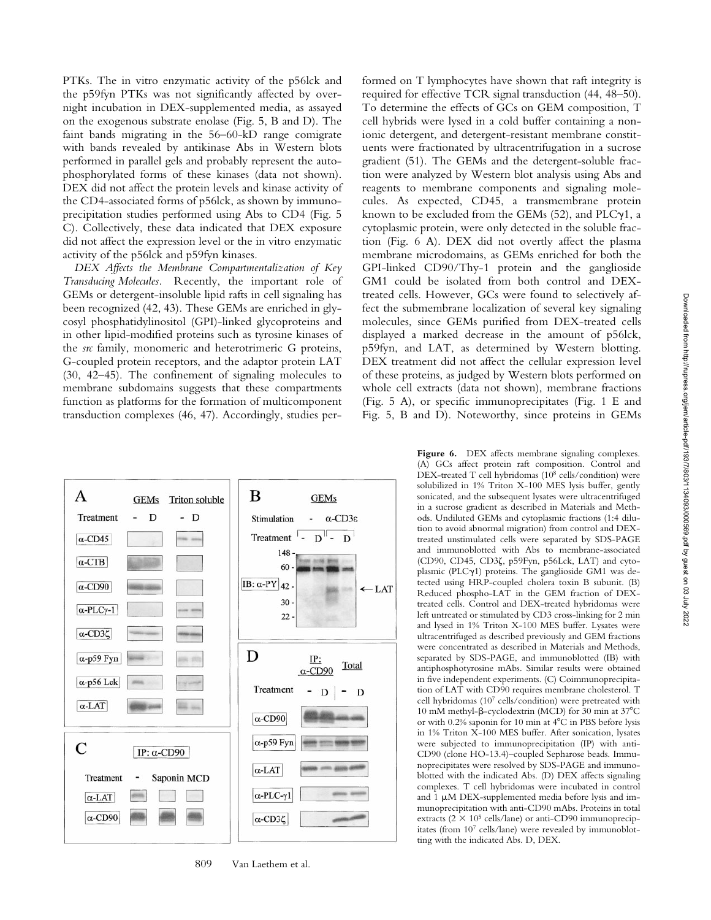PTKs. The in vitro enzymatic activity of the p56lck and the p59fyn PTKs was not significantly affected by overnight incubation in DEX-supplemented media, as assayed on the exogenous substrate enolase (Fig. 5, B and D). The faint bands migrating in the 56–60-kD range comigrate with bands revealed by antikinase Abs in Western blots performed in parallel gels and probably represent the autophosphorylated forms of these kinases (data not shown). DEX did not affect the protein levels and kinase activity of the CD4-associated forms of p56lck, as shown by immunoprecipitation studies performed using Abs to CD4 (Fig. 5 C). Collectively, these data indicated that DEX exposure did not affect the expression level or the in vitro enzymatic activity of the p56lck and p59fyn kinases.

*DEX Affects the Membrane Compartmentalization of Key Transducing Molecules.* Recently, the important role of GEMs or detergent-insoluble lipid rafts in cell signaling has been recognized (42, 43). These GEMs are enriched in glycosyl phosphatidylinositol (GPI)-linked glycoproteins and in other lipid-modified proteins such as tyrosine kinases of the *src* family, monomeric and heterotrimeric G proteins, G-coupled protein receptors, and the adaptor protein LAT (30, 42–45). The confinement of signaling molecules to membrane subdomains suggests that these compartments function as platforms for the formation of multicomponent transduction complexes (46, 47). Accordingly, studies performed on T lymphocytes have shown that raft integrity is required for effective TCR signal transduction (44, 48–50). To determine the effects of GCs on GEM composition, T cell hybrids were lysed in a cold buffer containing a nonionic detergent, and detergent-resistant membrane constituents were fractionated by ultracentrifugation in a sucrose gradient (51). The GEMs and the detergent-soluble fraction were analyzed by Western blot analysis using Abs and reagents to membrane components and signaling molecules. As expected, CD45, a transmembrane protein known to be excluded from the GEMs  $(52)$ , and PLC $\gamma$ 1, a cytoplasmic protein, were only detected in the soluble fraction (Fig. 6 A). DEX did not overtly affect the plasma membrane microdomains, as GEMs enriched for both the GPI-linked CD90/Thy-1 protein and the ganglioside GM1 could be isolated from both control and DEXtreated cells. However, GCs were found to selectively affect the submembrane localization of several key signaling molecules, since GEMs purified from DEX-treated cells displayed a marked decrease in the amount of p56lck, p59fyn, and LAT, as determined by Western blotting. DEX treatment did not affect the cellular expression level of these proteins, as judged by Western blots performed on whole cell extracts (data not shown), membrane fractions (Fig. 5 A), or specific immunoprecipitates (Fig. 1 E and Fig. 5, B and D). Noteworthy, since proteins in GEMs



809 Van Laethem et al.

Figure 6. DEX affects membrane signaling complexes. (A) GCs affect protein raft composition. Control and DEX-treated T cell hybridomas (108 cells/condition) were solubilized in 1% Triton X-100 MES lysis buffer, gently sonicated, and the subsequent lysates were ultracentrifuged in a sucrose gradient as described in Materials and Methods. Undiluted GEMs and cytoplasmic fractions (1:4 dilution to avoid abnormal migration) from control and DEXtreated unstimulated cells were separated by SDS-PAGE and immunoblotted with Abs to membrane-associated (CD90, CD45, CD3z, p59Fyn, p56Lck, LAT) and cytoplasmic (PLC $\gamma$ 1) proteins. The ganglioside GM1 was detected using HRP-coupled cholera toxin B subunit. (B) Reduced phospho-LAT in the GEM fraction of DEXtreated cells. Control and DEX-treated hybridomas were left untreated or stimulated by CD3 cross-linking for 2 min and lysed in 1% Triton X-100 MES buffer. Lysates were ultracentrifuged as described previously and GEM fractions were concentrated as described in Materials and Methods, separated by SDS-PAGE, and immunoblotted (IB) with antiphosphotyrosine mAbs. Similar results were obtained in five independent experiments. (C) Coimmunoprecipitation of LAT with CD90 requires membrane cholesterol. T cell hybridomas (107 cells/condition) were pretreated with 10 mM methyl- $\beta$ -cyclodextrin (MCD) for 30 min at 37 $^{\circ}$ C or with 0.2% saponin for 10 min at  $4^{\circ}$ C in PBS before lysis in 1% Triton X-100 MES buffer. After sonication, lysates were subjected to immunoprecipitation (IP) with anti-CD90 (clone HO-13.4)–coupled Sepharose beads. Immunoprecipitates were resolved by SDS-PAGE and immunoblotted with the indicated Abs. (D) DEX affects signaling complexes. T cell hybridomas were incubated in control and  $1 \mu M$  DEX-supplemented media before lysis and immunoprecipitation with anti-CD90 mAbs. Proteins in total extracts ( $2 \times 10^5$  cells/lane) or anti-CD90 immunoprecipitates (from 107 cells/lane) were revealed by immunoblotting with the indicated Abs. D, DEX.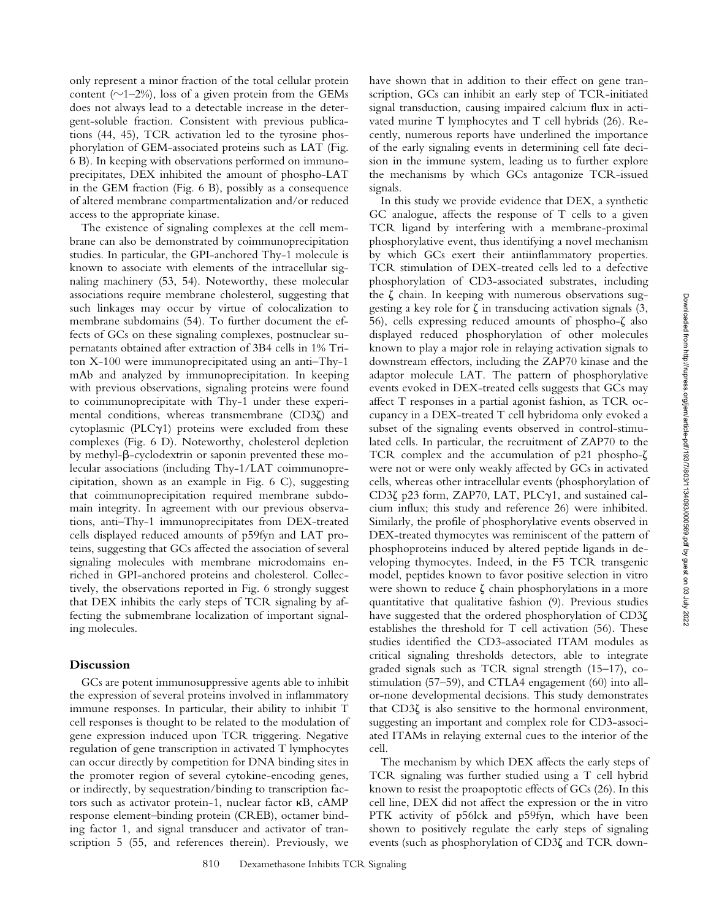only represent a minor fraction of the total cellular protein content ( $\sim$ 1–2%), loss of a given protein from the GEMs does not always lead to a detectable increase in the detergent-soluble fraction. Consistent with previous publications (44, 45), TCR activation led to the tyrosine phosphorylation of GEM-associated proteins such as LAT (Fig. 6 B). In keeping with observations performed on immunoprecipitates, DEX inhibited the amount of phospho-LAT in the GEM fraction (Fig. 6 B), possibly as a consequence of altered membrane compartmentalization and/or reduced access to the appropriate kinase.

The existence of signaling complexes at the cell membrane can also be demonstrated by coimmunoprecipitation studies. In particular, the GPI-anchored Thy-1 molecule is known to associate with elements of the intracellular signaling machinery (53, 54). Noteworthy, these molecular associations require membrane cholesterol, suggesting that such linkages may occur by virtue of colocalization to membrane subdomains (54). To further document the effects of GCs on these signaling complexes, postnuclear supernatants obtained after extraction of 3B4 cells in 1% Triton X-100 were immunoprecipitated using an anti–Thy-1 mAb and analyzed by immunoprecipitation. In keeping with previous observations, signaling proteins were found to coimmunoprecipitate with Thy-1 under these experimental conditions, whereas transmembrane  $(CD3\zeta)$  and cytoplasmic ( $PLC\gamma1$ ) proteins were excluded from these complexes (Fig. 6 D). Noteworthy, cholesterol depletion by methyl- $\beta$ -cyclodextrin or saponin prevented these molecular associations (including Thy-1/LAT coimmunoprecipitation, shown as an example in Fig. 6 C), suggesting that coimmunoprecipitation required membrane subdomain integrity. In agreement with our previous observations, anti–Thy-1 immunoprecipitates from DEX-treated cells displayed reduced amounts of p59fyn and LAT proteins, suggesting that GCs affected the association of several signaling molecules with membrane microdomains enriched in GPI-anchored proteins and cholesterol. Collectively, the observations reported in Fig. 6 strongly suggest that DEX inhibits the early steps of TCR signaling by affecting the submembrane localization of important signaling molecules.

## **Discussion**

GCs are potent immunosuppressive agents able to inhibit the expression of several proteins involved in inflammatory immune responses. In particular, their ability to inhibit T cell responses is thought to be related to the modulation of gene expression induced upon TCR triggering. Negative regulation of gene transcription in activated T lymphocytes can occur directly by competition for DNA binding sites in the promoter region of several cytokine-encoding genes, or indirectly, by sequestration/binding to transcription factors such as activator protein-1, nuclear factor kB, cAMP response element–binding protein (CREB), octamer binding factor 1, and signal transducer and activator of transcription 5 (55, and references therein). Previously, we

have shown that in addition to their effect on gene transcription, GCs can inhibit an early step of TCR-initiated signal transduction, causing impaired calcium flux in activated murine T lymphocytes and T cell hybrids (26). Recently, numerous reports have underlined the importance of the early signaling events in determining cell fate decision in the immune system, leading us to further explore the mechanisms by which GCs antagonize TCR-issued signals.

In this study we provide evidence that DEX, a synthetic GC analogue, affects the response of T cells to a given TCR ligand by interfering with a membrane-proximal phosphorylative event, thus identifying a novel mechanism by which GCs exert their antiinflammatory properties. TCR stimulation of DEX-treated cells led to a defective phosphorylation of CD3-associated substrates, including the  $\zeta$  chain. In keeping with numerous observations suggesting a key role for  $\zeta$  in transducing activation signals  $(3, \mathcal{L})$ 56), cells expressing reduced amounts of phospho- $\zeta$  also displayed reduced phosphorylation of other molecules known to play a major role in relaying activation signals to downstream effectors, including the ZAP70 kinase and the adaptor molecule LAT. The pattern of phosphorylative events evoked in DEX-treated cells suggests that GCs may affect T responses in a partial agonist fashion, as TCR occupancy in a DEX-treated T cell hybridoma only evoked a subset of the signaling events observed in control-stimulated cells. In particular, the recruitment of ZAP70 to the TCR complex and the accumulation of  $p21$  phospho- $\zeta$ were not or were only weakly affected by GCs in activated cells, whereas other intracellular events (phosphorylation of CD3 $\zeta$  p23 form, ZAP70, LAT, PLCy1, and sustained calcium influx; this study and reference 26) were inhibited. Similarly, the profile of phosphorylative events observed in DEX-treated thymocytes was reminiscent of the pattern of phosphoproteins induced by altered peptide ligands in developing thymocytes. Indeed, in the F5 TCR transgenic model, peptides known to favor positive selection in vitro were shown to reduce  $\zeta$  chain phosphorylations in a more quantitative that qualitative fashion (9). Previous studies have suggested that the ordered phosphorylation of  $CD3\zeta$ establishes the threshold for T cell activation (56). These studies identified the CD3-associated ITAM modules as critical signaling thresholds detectors, able to integrate graded signals such as TCR signal strength (15–17), costimulation (57–59), and CTLA4 engagement (60) into allor-none developmental decisions. This study demonstrates that  $CD3\zeta$  is also sensitive to the hormonal environment, suggesting an important and complex role for CD3-associated ITAMs in relaying external cues to the interior of the cell.

The mechanism by which DEX affects the early steps of TCR signaling was further studied using a T cell hybrid known to resist the proapoptotic effects of GCs (26). In this cell line, DEX did not affect the expression or the in vitro PTK activity of p56lck and p59fyn, which have been shown to positively regulate the early steps of signaling events (such as phosphorylation of  $CD3\zeta$  and TCR down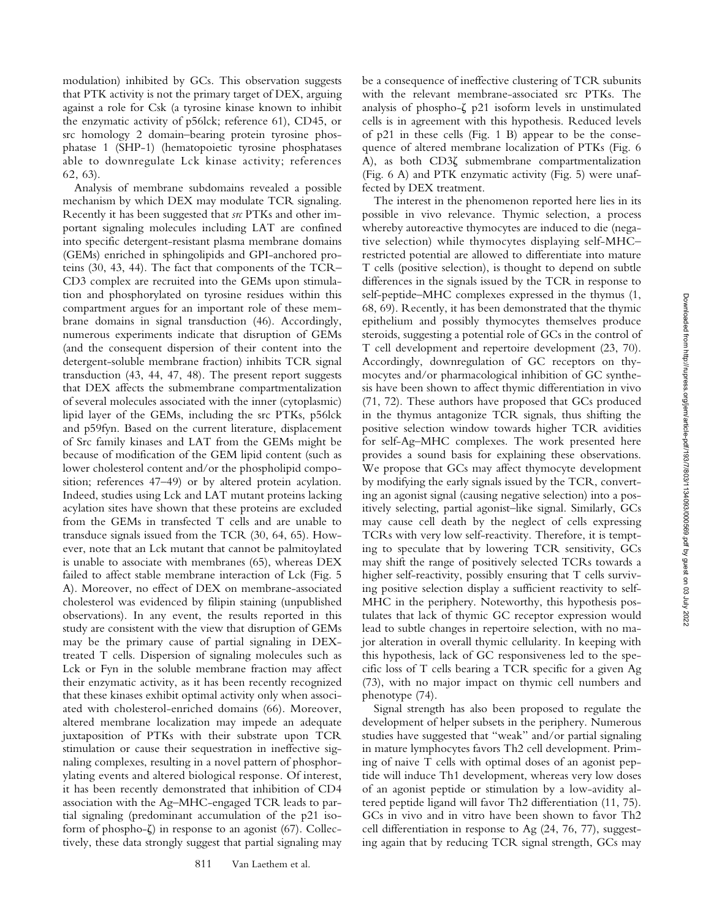modulation) inhibited by GCs. This observation suggests that PTK activity is not the primary target of DEX, arguing against a role for Csk (a tyrosine kinase known to inhibit the enzymatic activity of p56lck; reference 61), CD45, or src homology 2 domain–bearing protein tyrosine phosphatase 1 (SHP-1) (hematopoietic tyrosine phosphatases able to downregulate Lck kinase activity; references 62, 63).

Analysis of membrane subdomains revealed a possible mechanism by which DEX may modulate TCR signaling. Recently it has been suggested that *src* PTKs and other important signaling molecules including LAT are confined into specific detergent-resistant plasma membrane domains (GEMs) enriched in sphingolipids and GPI-anchored proteins (30, 43, 44). The fact that components of the TCR– CD3 complex are recruited into the GEMs upon stimulation and phosphorylated on tyrosine residues within this compartment argues for an important role of these membrane domains in signal transduction (46). Accordingly, numerous experiments indicate that disruption of GEMs (and the consequent dispersion of their content into the detergent-soluble membrane fraction) inhibits TCR signal transduction (43, 44, 47, 48). The present report suggests that DEX affects the submembrane compartmentalization of several molecules associated with the inner (cytoplasmic) lipid layer of the GEMs, including the src PTKs, p56lck and p59fyn. Based on the current literature, displacement of Src family kinases and LAT from the GEMs might be because of modification of the GEM lipid content (such as lower cholesterol content and/or the phospholipid composition; references 47–49) or by altered protein acylation. Indeed, studies using Lck and LAT mutant proteins lacking acylation sites have shown that these proteins are excluded from the GEMs in transfected T cells and are unable to transduce signals issued from the TCR (30, 64, 65). However, note that an Lck mutant that cannot be palmitoylated is unable to associate with membranes (65), whereas DEX failed to affect stable membrane interaction of Lck (Fig. 5 A). Moreover, no effect of DEX on membrane-associated cholesterol was evidenced by filipin staining (unpublished observations). In any event, the results reported in this study are consistent with the view that disruption of GEMs may be the primary cause of partial signaling in DEXtreated T cells. Dispersion of signaling molecules such as Lck or Fyn in the soluble membrane fraction may affect their enzymatic activity, as it has been recently recognized that these kinases exhibit optimal activity only when associated with cholesterol-enriched domains (66). Moreover, altered membrane localization may impede an adequate juxtaposition of PTKs with their substrate upon TCR stimulation or cause their sequestration in ineffective signaling complexes, resulting in a novel pattern of phosphorylating events and altered biological response. Of interest, it has been recently demonstrated that inhibition of CD4 association with the Ag–MHC-engaged TCR leads to partial signaling (predominant accumulation of the p21 isoform of phospho- $\zeta$ ) in response to an agonist (67). Collectively, these data strongly suggest that partial signaling may

be a consequence of ineffective clustering of TCR subunits with the relevant membrane-associated src PTKs. The analysis of phospho- $\zeta$  p21 isoform levels in unstimulated cells is in agreement with this hypothesis. Reduced levels of p21 in these cells (Fig. 1 B) appear to be the consequence of altered membrane localization of PTKs (Fig. 6  $\overline{A}$ ), as both CD3 $\zeta$  submembrane compartmentalization (Fig. 6 A) and PTK enzymatic activity (Fig. 5) were unaffected by DEX treatment.

The interest in the phenomenon reported here lies in its possible in vivo relevance. Thymic selection, a process whereby autoreactive thymocytes are induced to die (negative selection) while thymocytes displaying self-MHC– restricted potential are allowed to differentiate into mature T cells (positive selection), is thought to depend on subtle differences in the signals issued by the TCR in response to self-peptide–MHC complexes expressed in the thymus (1, 68, 69). Recently, it has been demonstrated that the thymic epithelium and possibly thymocytes themselves produce steroids, suggesting a potential role of GCs in the control of T cell development and repertoire development (23, 70). Accordingly, downregulation of GC receptors on thymocytes and/or pharmacological inhibition of GC synthesis have been shown to affect thymic differentiation in vivo (71, 72). These authors have proposed that GCs produced in the thymus antagonize TCR signals, thus shifting the positive selection window towards higher TCR avidities for self-Ag–MHC complexes. The work presented here provides a sound basis for explaining these observations. We propose that GCs may affect thymocyte development by modifying the early signals issued by the TCR, converting an agonist signal (causing negative selection) into a positively selecting, partial agonist–like signal. Similarly, GCs may cause cell death by the neglect of cells expressing TCRs with very low self-reactivity. Therefore, it is tempting to speculate that by lowering TCR sensitivity, GCs may shift the range of positively selected TCRs towards a higher self-reactivity, possibly ensuring that T cells surviving positive selection display a sufficient reactivity to self-MHC in the periphery. Noteworthy, this hypothesis postulates that lack of thymic GC receptor expression would lead to subtle changes in repertoire selection, with no major alteration in overall thymic cellularity. In keeping with this hypothesis, lack of GC responsiveness led to the specific loss of T cells bearing a TCR specific for a given Ag (73), with no major impact on thymic cell numbers and phenotype (74).

Signal strength has also been proposed to regulate the development of helper subsets in the periphery. Numerous studies have suggested that "weak" and/or partial signaling in mature lymphocytes favors Th2 cell development. Priming of naive T cells with optimal doses of an agonist peptide will induce Th1 development, whereas very low doses of an agonist peptide or stimulation by a low-avidity altered peptide ligand will favor Th2 differentiation (11, 75). GCs in vivo and in vitro have been shown to favor Th2 cell differentiation in response to Ag (24, 76, 77), suggesting again that by reducing TCR signal strength, GCs may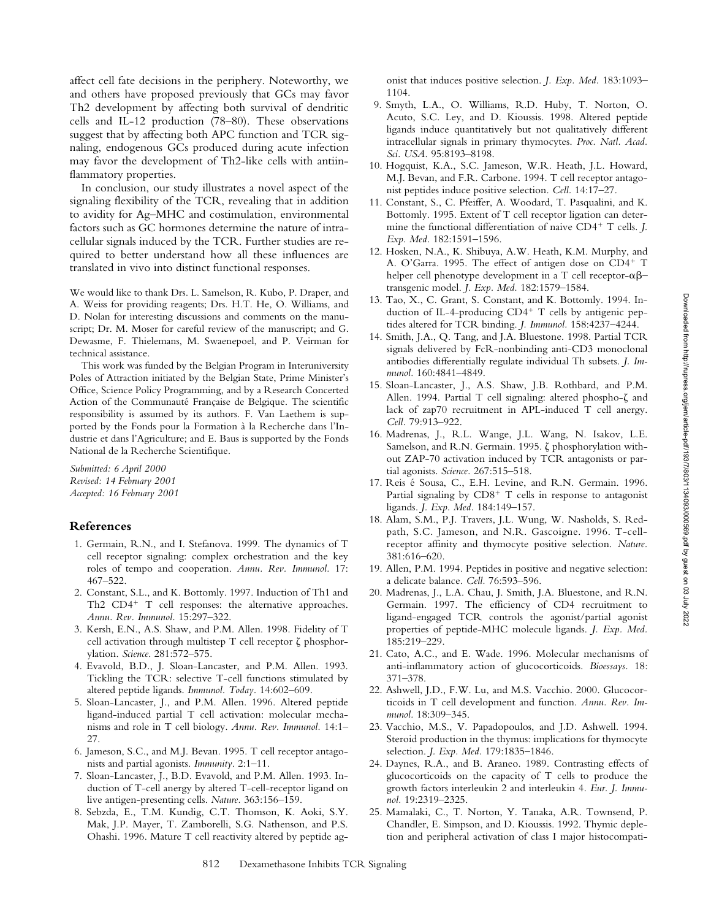affect cell fate decisions in the periphery. Noteworthy, we and others have proposed previously that GCs may favor Th2 development by affecting both survival of dendritic cells and IL-12 production (78–80). These observations suggest that by affecting both APC function and TCR signaling, endogenous GCs produced during acute infection may favor the development of Th2-like cells with antiinflammatory properties.

In conclusion, our study illustrates a novel aspect of the signaling flexibility of the TCR, revealing that in addition to avidity for Ag–MHC and costimulation, environmental factors such as GC hormones determine the nature of intracellular signals induced by the TCR. Further studies are required to better understand how all these influences are translated in vivo into distinct functional responses.

We would like to thank Drs. L. Samelson, R. Kubo, P. Draper, and A. Weiss for providing reagents; Drs. H.T. He, O. Williams, and D. Nolan for interesting discussions and comments on the manuscript; Dr. M. Moser for careful review of the manuscript; and G. Dewasme, F. Thielemans, M. Swaenepoel, and P. Veirman for technical assistance.

This work was funded by the Belgian Program in Interuniversity Poles of Attraction initiated by the Belgian State, Prime Minister's Office, Science Policy Programming, and by a Research Concerted Action of the Communauté Française de Belgique. The scientific responsibility is assumed by its authors. F. Van Laethem is supported by the Fonds pour la Formation à la Recherche dans l'Industrie et dans l'Agriculture; and E. Baus is supported by the Fonds National de la Recherche Scientifique.

*Submitted: 6 April 2000 Revised: 14 February 2001 Accepted: 16 February 2001*

#### **References**

- 1. Germain, R.N., and I. Stefanova. 1999. The dynamics of T cell receptor signaling: complex orchestration and the key roles of tempo and cooperation. *Annu. Rev. Immunol.* 17: 467–522.
- 2. Constant, S.L., and K. Bottomly. 1997. Induction of Th1 and Th2  $CD4^+$  T cell responses: the alternative approaches. *Annu. Rev. Immunol.* 15:297–322.
- 3. Kersh, E.N., A.S. Shaw, and P.M. Allen. 1998. Fidelity of T cell activation through multistep  $T$  cell receptor  $\zeta$  phosphorylation. *Science*. 281:572–575.
- 4. Evavold, B.D., J. Sloan-Lancaster, and P.M. Allen. 1993. Tickling the TCR: selective T-cell functions stimulated by altered peptide ligands. *Immunol. Today.* 14:602–609.
- 5. Sloan-Lancaster, J., and P.M. Allen. 1996. Altered peptide ligand-induced partial T cell activation: molecular mechanisms and role in T cell biology. *Annu. Rev. Immunol.* 14:1– 27.
- 6. Jameson, S.C., and M.J. Bevan. 1995. T cell receptor antagonists and partial agonists. *Immunity*. 2:1–11.
- 7. Sloan-Lancaster, J., B.D. Evavold, and P.M. Allen. 1993. Induction of T-cell anergy by altered T-cell-receptor ligand on live antigen-presenting cells. *Nature.* 363:156–159.
- 8. Sebzda, E., T.M. Kundig, C.T. Thomson, K. Aoki, S.Y. Mak, J.P. Mayer, T. Zamborelli, S.G. Nathenson, and P.S. Ohashi. 1996. Mature T cell reactivity altered by peptide ag-

onist that induces positive selection. *J. Exp. Med.* 183:1093– 1104.

- 9. Smyth, L.A., O. Williams, R.D. Huby, T. Norton, O. Acuto, S.C. Ley, and D. Kioussis. 1998. Altered peptide ligands induce quantitatively but not qualitatively different intracellular signals in primary thymocytes. *Proc. Natl. Acad. Sci. USA.* 95:8193–8198.
- 10. Hogquist, K.A., S.C. Jameson, W.R. Heath, J.L. Howard, M.J. Bevan, and F.R. Carbone. 1994. T cell receptor antagonist peptides induce positive selection. *Cell.* 14:17–27.
- 11. Constant, S., C. Pfeiffer, A. Woodard, T. Pasqualini, and K. Bottomly. 1995. Extent of T cell receptor ligation can determine the functional differentiation of naive CD4<sup>+</sup> T cells. *J*. *Exp. Med.* 182:1591–1596.
- 12. Hosken, N.A., K. Shibuya, A.W. Heath, K.M. Murphy, and A. O'Garra. 1995. The effect of antigen dose on  $CD4^+$  T helper cell phenotype development in a T cell receptor- $\alpha\beta$ transgenic model. *J. Exp. Med.* 182:1579–1584.
- 13. Tao, X., C. Grant, S. Constant, and K. Bottomly. 1994. Induction of IL-4-producing  $CD4^+$  T cells by antigenic peptides altered for TCR binding. *J. Immunol.* 158:4237–4244.
- 14. Smith, J.A., Q. Tang, and J.A. Bluestone. 1998. Partial TCR signals delivered by FcR-nonbinding anti-CD3 monoclonal antibodies differentially regulate individual Th subsets. *J. Immunol.* 160:4841–4849.
- 15. Sloan-Lancaster, J., A.S. Shaw, J.B. Rothbard, and P.M. Allen. 1994. Partial T cell signaling: altered phospho- $\zeta$  and lack of zap70 recruitment in APL-induced T cell anergy. *Cell.* 79:913–922.
- 16. Madrenas, J., R.L. Wange, J.L. Wang, N. Isakov, L.E. Samelson, and R.N. Germain. 1995.  $\zeta$  phosphorylation without ZAP-70 activation induced by TCR antagonists or partial agonists. *Science.* 267:515–518.
- 17. Reis é Sousa, C., E.H. Levine, and R.N. Germain. 1996. Partial signaling by  $CD8<sup>+</sup>$  T cells in response to antagonist ligands. *J. Exp. Med.* 184:149–157.
- 18. Alam, S.M., P.J. Travers, J.L. Wung, W. Nasholds, S. Redpath, S.C. Jameson, and N.R. Gascoigne. 1996. T-cellreceptor affinity and thymocyte positive selection. *Nature.* 381:616–620.
- 19. Allen, P.M. 1994. Peptides in positive and negative selection: a delicate balance. *Cell.* 76:593–596.
- 20. Madrenas, J., L.A. Chau, J. Smith, J.A. Bluestone, and R.N. Germain. 1997. The efficiency of CD4 recruitment to ligand-engaged TCR controls the agonist/partial agonist properties of peptide-MHC molecule ligands. *J. Exp. Med.* 185:219–229.
- 21. Cato, A.C., and E. Wade. 1996. Molecular mechanisms of anti-inflammatory action of glucocorticoids. *Bioessays.* 18: 371–378.
- 22. Ashwell, J.D., F.W. Lu, and M.S. Vacchio. 2000. Glucocorticoids in T cell development and function. *Annu. Rev. Immunol.* 18:309–345.
- 23. Vacchio, M.S., V. Papadopoulos, and J.D. Ashwell. 1994. Steroid production in the thymus: implications for thymocyte selection. *J. Exp. Med.* 179:1835–1846.
- 24. Daynes, R.A., and B. Araneo. 1989. Contrasting effects of glucocorticoids on the capacity of T cells to produce the growth factors interleukin 2 and interleukin 4. *Eur. J. Immunol.* 19:2319–2325.
- 25. Mamalaki, C., T. Norton, Y. Tanaka, A.R. Townsend, P. Chandler, E. Simpson, and D. Kioussis. 1992. Thymic depletion and peripheral activation of class I major histocompati-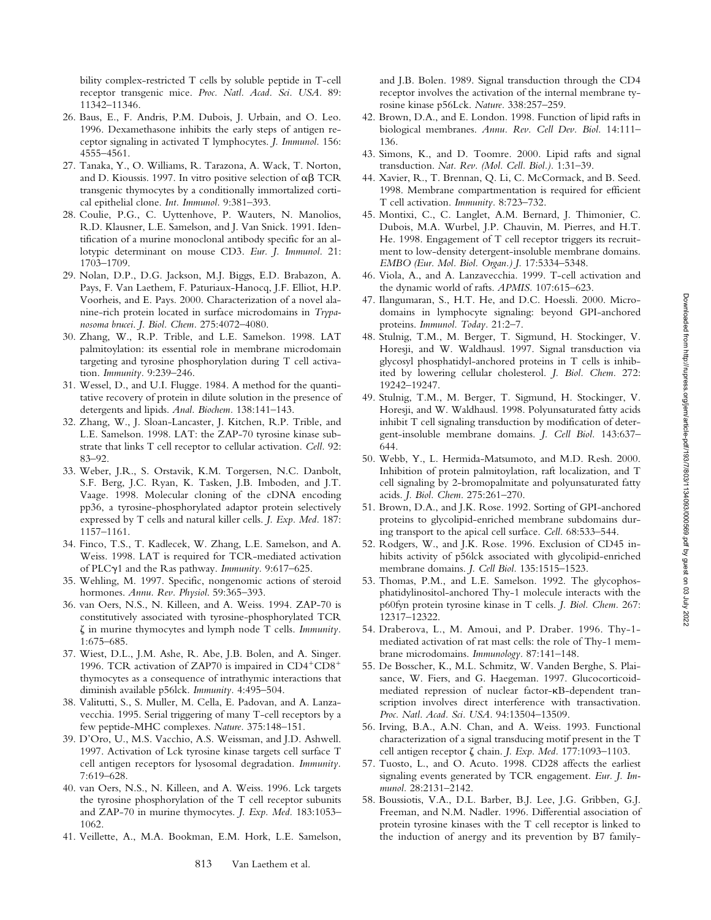bility complex-restricted T cells by soluble peptide in T-cell receptor transgenic mice. *Proc. Natl. Acad. Sci. USA.* 89: 11342–11346.

- 26. Baus, E., F. Andris, P.M. Dubois, J. Urbain, and O. Leo. 1996. Dexamethasone inhibits the early steps of antigen receptor signaling in activated T lymphocytes. *J. Immunol.* 156: 4555–4561.
- 27. Tanaka, Y., O. Williams, R. Tarazona, A. Wack, T. Norton, and D. Kioussis. 1997. In vitro positive selection of  $\alpha\beta$  TCR transgenic thymocytes by a conditionally immortalized cortical epithelial clone. *Int. Immunol.* 9:381–393.
- 28. Coulie, P.G., C. Uyttenhove, P. Wauters, N. Manolios, R.D. Klausner, L.E. Samelson, and J. Van Snick. 1991. Identification of a murine monoclonal antibody specific for an allotypic determinant on mouse CD3. *Eur. J. Immunol.* 21: 1703–1709.
- 29. Nolan, D.P., D.G. Jackson, M.J. Biggs, E.D. Brabazon, A. Pays, F. Van Laethem, F. Paturiaux-Hanocq, J.F. Elliot, H.P. Voorheis, and E. Pays. 2000. Characterization of a novel alanine-rich protein located in surface microdomains in *Trypanosoma brucei*. *J. Biol. Chem.* 275:4072–4080.
- 30. Zhang, W., R.P. Trible, and L.E. Samelson. 1998. LAT palmitoylation: its essential role in membrane microdomain targeting and tyrosine phosphorylation during T cell activation. *Immunity.* 9:239–246.
- 31. Wessel, D., and U.I. Flugge. 1984. A method for the quantitative recovery of protein in dilute solution in the presence of detergents and lipids. *Anal. Biochem.* 138:141–143.
- 32. Zhang, W., J. Sloan-Lancaster, J. Kitchen, R.P. Trible, and L.E. Samelson. 1998. LAT: the ZAP-70 tyrosine kinase substrate that links T cell receptor to cellular activation. *Cell.* 92: 83–92.
- 33. Weber, J.R., S. Orstavik, K.M. Torgersen, N.C. Danbolt, S.F. Berg, J.C. Ryan, K. Tasken, J.B. Imboden, and J.T. Vaage. 1998. Molecular cloning of the cDNA encoding pp36, a tyrosine-phosphorylated adaptor protein selectively expressed by T cells and natural killer cells. *J. Exp. Med.* 187: 1157–1161.
- 34. Finco, T.S., T. Kadlecek, W. Zhang, L.E. Samelson, and A. Weiss. 1998. LAT is required for TCR-mediated activation of PLCg1 and the Ras pathway. *Immunity.* 9:617–625.
- 35. Wehling, M. 1997. Specific, nongenomic actions of steroid hormones. *Annu. Rev. Physiol*. 59:365–393.
- 36. van Oers, N.S., N. Killeen, and A. Weiss. 1994. ZAP-70 is constitutively associated with tyrosine-phosphorylated TCR z in murine thymocytes and lymph node T cells. *Immunity.* 1:675–685.
- 37. Wiest, D.L., J.M. Ashe, R. Abe, J.B. Bolen, and A. Singer. 1996. TCR activation of ZAP70 is impaired in  $CD4+CD8+$ thymocytes as a consequence of intrathymic interactions that diminish available p56lck. *Immunity.* 4:495–504.
- 38. Valitutti, S., S. Muller, M. Cella, E. Padovan, and A. Lanzavecchia. 1995. Serial triggering of many T-cell receptors by a few peptide-MHC complexes. *Nature.* 375:148–151.
- 39. D'Oro, U., M.S. Vacchio, A.S. Weissman, and J.D. Ashwell. 1997. Activation of Lck tyrosine kinase targets cell surface T cell antigen receptors for lysosomal degradation. *Immunity.* 7:619–628.
- 40. van Oers, N.S., N. Killeen, and A. Weiss. 1996. Lck targets the tyrosine phosphorylation of the T cell receptor subunits and ZAP-70 in murine thymocytes. *J. Exp. Med.* 183:1053– 1062.
- 41. Veillette, A., M.A. Bookman, E.M. Hork, L.E. Samelson,

and J.B. Bolen. 1989. Signal transduction through the CD4 receptor involves the activation of the internal membrane tyrosine kinase p56Lck. *Nature.* 338:257–259.

- 42. Brown, D.A., and E. London. 1998. Function of lipid rafts in biological membranes. *Annu. Rev. Cell Dev. Biol.* 14:111– 136.
- 43. Simons, K., and D. Toomre. 2000. Lipid rafts and signal transduction. *Nat. Rev. (Mol. Cell. Biol.).* 1:31–39.
- 44. Xavier, R., T. Brennan, Q. Li, C. McCormack, and B. Seed. 1998. Membrane compartmentation is required for efficient T cell activation. *Immunity.* 8:723–732.
- 45. Montixi, C., C. Langlet, A.M. Bernard, J. Thimonier, C. Dubois, M.A. Wurbel, J.P. Chauvin, M. Pierres, and H.T. He. 1998. Engagement of T cell receptor triggers its recruitment to low-density detergent-insoluble membrane domains. *EMBO (Eur. Mol. Biol. Organ.) J.* 17:5334–5348.
- 46. Viola, A., and A. Lanzavecchia. 1999. T-cell activation and the dynamic world of rafts. *APMIS.* 107:615–623.
- 47. Ilangumaran, S., H.T. He, and D.C. Hoessli. 2000. Microdomains in lymphocyte signaling: beyond GPI-anchored proteins. *Immunol. Today.* 21:2–7.
- 48. Stulnig, T.M., M. Berger, T. Sigmund, H. Stockinger, V. Horesji, and W. Waldhausl. 1997. Signal transduction via glycosyl phosphatidyl-anchored proteins in T cells is inhibited by lowering cellular cholesterol. *J. Biol. Chem.* 272: 19242–19247.
- 49. Stulnig, T.M., M. Berger, T. Sigmund, H. Stockinger, V. Horesji, and W. Waldhausl. 1998. Polyunsaturated fatty acids inhibit T cell signaling transduction by modification of detergent-insoluble membrane domains. *J. Cell Biol.* 143:637– 644.
- 50. Webb, Y., L. Hermida-Matsumoto, and M.D. Resh. 2000. Inhibition of protein palmitoylation, raft localization, and T cell signaling by 2-bromopalmitate and polyunsaturated fatty acids. *J. Biol. Chem.* 275:261–270.
- 51. Brown, D.A., and J.K. Rose. 1992. Sorting of GPI-anchored proteins to glycolipid-enriched membrane subdomains during transport to the apical cell surface. *Cell.* 68:533–544.
- 52. Rodgers, W., and J.K. Rose. 1996. Exclusion of CD45 inhibits activity of p56lck associated with glycolipid-enriched membrane domains. *J. Cell Biol.* 135:1515–1523.
- 53. Thomas, P.M., and L.E. Samelson. 1992. The glycophosphatidylinositol-anchored Thy-1 molecule interacts with the p60fyn protein tyrosine kinase in T cells. *J. Biol. Chem.* 267: 12317–12322.
- 54. Draberova, L., M. Amoui, and P. Draber. 1996. Thy-1 mediated activation of rat mast cells: the role of Thy-1 membrane microdomains. *Immunology.* 87:141–148.
- 55. De Bosscher, K., M.L. Schmitz, W. Vanden Berghe, S. Plaisance, W. Fiers, and G. Haegeman. 1997. Glucocorticoidmediated repression of nuclear factor-kB-dependent transcription involves direct interference with transactivation. *Proc. Natl. Acad. Sci. USA.* 94:13504–13509.
- 56. Irving, B.A., A.N. Chan, and A. Weiss. 1993. Functional characterization of a signal transducing motif present in the T cell antigen receptor ζ chain. *J. Exp. Med.* 177:1093–1103.
- 57. Tuosto, L., and O. Acuto. 1998. CD28 affects the earliest signaling events generated by TCR engagement. *Eur. J. Immunol.* 28:2131–2142.
- 58. Boussiotis, V.A., D.L. Barber, B.J. Lee, J.G. Gribben, G.J. Freeman, and N.M. Nadler. 1996. Differential association of protein tyrosine kinases with the T cell receptor is linked to the induction of anergy and its prevention by B7 family-